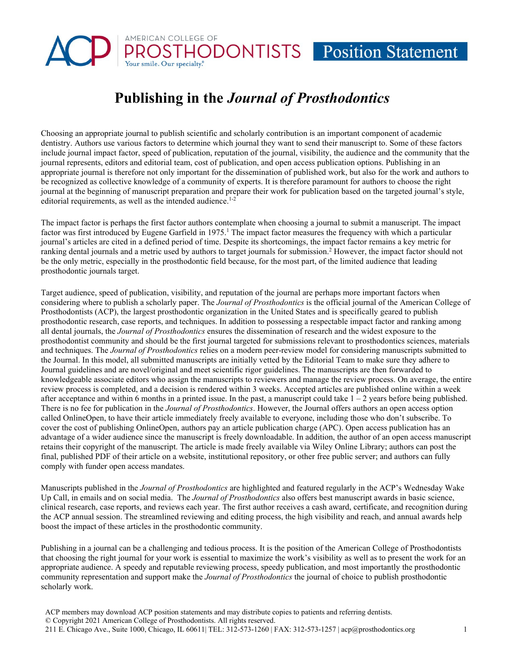# AMERICAN COLLEGE OF **PROSTHODONTISTS** Position Statement

## **Publishing in the** *Journal of Prosthodontics*

Choosing an appropriate journal to publish scientific and scholarly contribution is an important component of academic dentistry. Authors use various factors to determine which journal they want to send their manuscript to. Some of these factors include journal impact factor, speed of publication, reputation of the journal, visibility, the audience and the community that the journal represents, editors and editorial team, cost of publication, and open access publication options. Publishing in an appropriate journal is therefore not only important for the dissemination of published work, but also for the work and authors to be recognized as collective knowledge of a community of experts. It is therefore paramount for authors to choose the right journal at the beginning of manuscript preparation and prepare their work for publication based on the targeted journal's style, editorial requirements, as well as the intended audience.<sup>1-2</sup>

The impact factor is perhaps the first factor authors contemplate when choosing a journal to submit a manuscript. The impact factor was first introduced by Eugene Garfield in  $1975<sup>1</sup>$ . The impact factor measures the frequency with which a particular journal's articles are cited in a defined period of time. Despite its shortcomings, the impact factor remains a key metric for ranking dental journals and a metric used by authors to target journals for submission.2 However, the impact factor should not be the only metric, especially in the prosthodontic field because, for the most part, of the limited audience that leading prosthodontic journals target.

Target audience, speed of publication, visibility, and reputation of the journal are perhaps more important factors when considering where to publish a scholarly paper. The *Journal of Prosthodontics* is the official journal of the American College of Prosthodontists (ACP), the largest prosthodontic organization in the United States and is specifically geared to publish prosthodontic research, case reports, and techniques. In addition to possessing a respectable impact factor and ranking among all dental journals, the *Journal of Prosthodontics* ensures the dissemination of research and the widest exposure to the prosthodontist community and should be the first journal targeted for submissions relevant to prosthodontics sciences, materials and techniques. The *Journal of Prosthodontics* relies on a modern peer-review model for considering manuscripts submitted to the Journal. In this model, all submitted manuscripts are initially vetted by the Editorial Team to make sure they adhere to Journal guidelines and are novel/original and meet scientific rigor guidelines. The manuscripts are then forwarded to knowledgeable associate editors who assign the manuscripts to reviewers and manage the review process. On average, the entire review process is completed, and a decision is rendered within 3 weeks. Accepted articles are published online within a week after acceptance and within 6 months in a printed issue. In the past, a manuscript could take  $1 - 2$  years before being published. There is no fee for publication in the *Journal of Prosthodontics*. However, the Journal offers authors an open access option called OnlineOpen, to have their article immediately freely available to everyone, including those who don't subscribe. To cover the cost of publishing OnlineOpen, authors pay an article publication charge (APC). Open access publication has an advantage of a wider audience since the manuscript is freely downloadable. In addition, the author of an open access manuscript retains their copyright of the manuscript. The article is made freely available via Wiley Online Library; authors can post the final, published PDF of their article on a website, institutional repository, or other free public server; and authors can fully comply with funder open access mandates.

Manuscripts published in the *Journal of Prosthodontics* are highlighted and featured regularly in the ACP's Wednesday Wake Up Call, in emails and on social media. The *Journal of Prosthodontics* also offers best manuscript awards in basic science, clinical research, case reports, and reviews each year. The first author receives a cash award, certificate, and recognition during the ACP annual session. The streamlined reviewing and editing process, the high visibility and reach, and annual awards help boost the impact of these articles in the prosthodontic community.

Publishing in a journal can be a challenging and tedious process. It is the position of the American College of Prosthodontists that choosing the right journal for your work is essential to maximize the work's visibility as well as to present the work for an appropriate audience. A speedy and reputable reviewing process, speedy publication, and most importantly the prosthodontic community representation and support make the *Journal of Prosthodontics* the journal of choice to publish prosthodontic scholarly work.